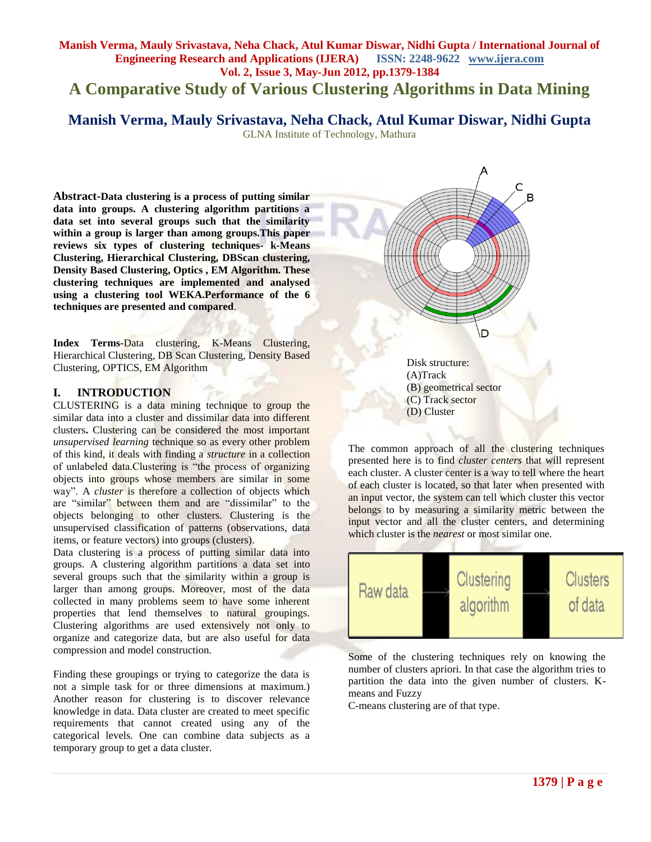# **Manish Verma, Mauly Srivastava, Neha Chack, Atul Kumar Diswar, Nidhi Gupta / International Journal of Engineering Research and Applications (IJERA) ISSN: 2248-9622 www.ijera.com Vol. 2, Issue 3, May-Jun 2012, pp.1379-1384 A Comparative Study of Various Clustering Algorithms in Data Mining**

**Manish Verma, Mauly Srivastava, Neha Chack, Atul Kumar Diswar, Nidhi Gupta**

GLNA Institute of Technology, Mathura

**Abstract-Data clustering is a process of putting similar data into groups. A clustering algorithm partitions a data set into several groups such that the similarity within a group is larger than among groups.This paper reviews six types of clustering techniques- k-Means Clustering, Hierarchical Clustering, DBScan clustering, Density Based Clustering, Optics , EM Algorithm. These clustering techniques are implemented and analysed using a clustering tool WEKA.Performance of the 6 techniques are presented and compared**.

**Index Terms-**Data clustering, K-Means Clustering, Hierarchical Clustering, DB Scan Clustering, Density Based Clustering, OPTICS, EM Algorithm

### **I. INTRODUCTION**

CLUSTERING is a data mining technique to group the similar data into a cluster and dissimilar data into different clusters**.** Clustering can be considered the most important *unsupervised learning* technique so as every other problem of this kind, it deals with finding a *structure* in a collection of unlabeled data.Clustering is "the process of organizing objects into groups whose members are similar in some way". A *cluster* is therefore a collection of objects which are "similar" between them and are "dissimilar" to the objects belonging to other clusters. Clustering is the unsupervised classification of patterns (observations, data items, or feature vectors) into groups (clusters).

Data clustering is a process of putting similar data into groups. A clustering algorithm partitions a data set into several groups such that the similarity within a group is larger than among groups. Moreover, most of the data collected in many problems seem to have some inherent properties that lend themselves to natural groupings. Clustering algorithms are used extensively not only to organize and categorize data, but are also useful for data compression and model construction.

Finding these groupings or trying to categorize the data is not a simple task for or three dimensions at maximum.) Another reason for clustering is to discover relevance knowledge in data. Data cluster are created to meet specific requirements that cannot created using any of the categorical levels. One can combine data subjects as a temporary group to get a data cluster.



 (C) Track sector (D) Cluster The common approach of all the clustering techniques presented here is to find *cluster centers* that will represent each cluster. A cluster center is a way to tell where the heart of each cluster is located, so that later when presented with an input vector, the system can tell which cluster this vector belongs to by measuring a similarity metric between the input vector and all the cluster centers, and determining

which cluster is the *nearest* or most similar one.



Some of the clustering techniques rely on knowing the number of clusters apriori. In that case the algorithm tries to partition the data into the given number of clusters. Kmeans and Fuzzy

C-means clustering are of that type.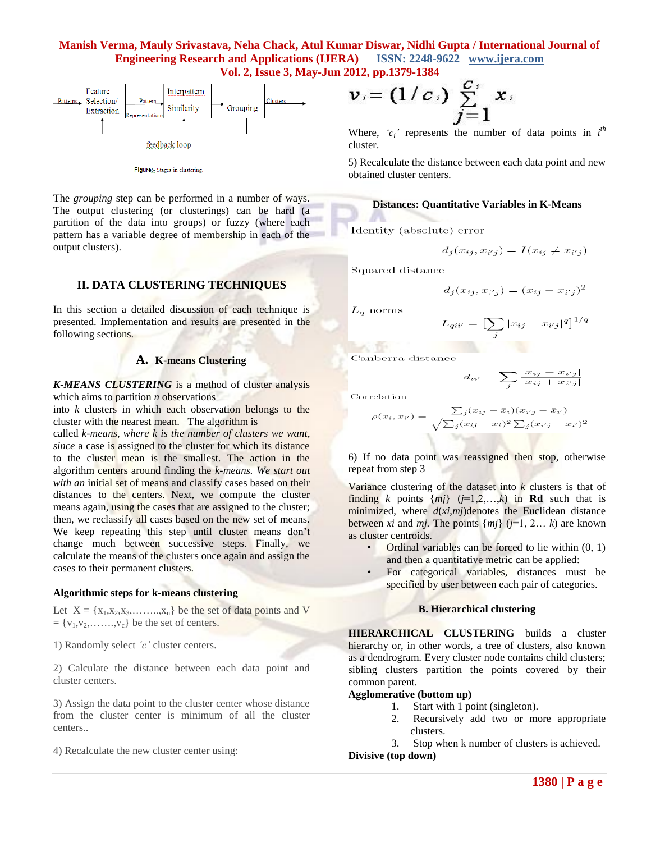

Figure:- Stages in clustering.

The *grouping* step can be performed in a number of ways. The output clustering (or clusterings) can be hard (a partition of the data into groups) or fuzzy (where each pattern has a variable degree of membership in each of the output clusters).

# **II. DATA CLUSTERING TECHNIQUES**

In this section a detailed discussion of each technique is presented. Implementation and results are presented in the following sections.

#### **A. K-means Clustering**

*K-MEANS CLUSTERING* is a method of cluster analysis which aims to partition *n* observations

into *k* clusters in which each observation belongs to the cluster with the nearest mean. The algorithm is

called *k-means, where k is the number of clusters we want, since* a case is assigned to the cluster for which its distance to the cluster mean is the smallest. The action in the algorithm centers around finding the *k-means. We start out with an initial set of means and classify cases based on their* distances to the centers. Next, we compute the cluster means again, using the cases that are assigned to the cluster; then, we reclassify all cases based on the new set of means. We keep repeating this step until cluster means don't change much between successive steps. Finally, we calculate the means of the clusters once again and assign the cases to their permanent clusters.

#### **Algorithmic steps for k-means clustering**

Let  $X = \{x_1, x_2, x_3, \ldots, x_n\}$  be the set of data points and V  $= \{v_1, v_2, \ldots, v_c\}$  be the set of centers.

1) Randomly select *'c'* cluster centers.

2) Calculate the distance between each data point and cluster centers.

3) Assign the data point to the cluster center whose distance from the cluster center is minimum of all the cluster centers..

4) Recalculate the new cluster center using:

$$
\mathbf{v}_i = (1/c_i) \sum_{j=1}^{C_i} x_i
$$

Where,  $c_i$  represents the number of data points in  $i^h$ cluster.

5) Recalculate the distance between each data point and new obtained cluster centers.

### **Distances: Quantitative Variables in K-Means**

Identity (absolute) error

$$
d_j(x_{ij}, x_{i'j}) = I(x_{ij} \neq x_{i'j})
$$

Squared distance

$$
d_j(x_{ij}, x_{i'j}) = (x_{ij} - x_{i'j})^2
$$

 $L_q$  norms

AC TON

$$
L_{qii'} = \left[\sum_{j} |x_{ij} - x_{i'j}|^q\right]^{1/q}
$$

Canberra distance

$$
d_{ii'} = \sum_{j} \frac{|x_{ij} - x_{i'j}|}{|x_{ij} + x_{i'j}|}
$$

Correlation

$$
\rho(x_i, x_{i'}) = \frac{\sum_j (x_{ij} - \bar{x}_i)(x_{i'j} - \bar{x}_{i'})}{\sqrt{\sum_j (x_{ij} - \bar{x}_i)^2 \sum_j (x_{i'j} - \bar{x}_{i'})^2}}
$$

6) If no data point was reassigned then stop, otherwise repeat from step 3

Variance clustering of the dataset into *k* clusters is that of finding *k* points  $\{mj\}$  ( $j=1,2,...,k$ ) in **Rd** such that is minimized, where *d*(*xi*,*mj*)denotes the Euclidean distance between *xi* and *mj*. The points  $\{mj\}$  ( $j=1, 2... k$ ) are known as cluster centroids.

- Ordinal variables can be forced to lie within (0, 1) and then a quantitative metric can be applied:
	- For categorical variables, distances must be specified by user between each pair of categories.

### **B. Hierarchical clustering**

**HIERARCHICAL CLUSTERING** builds a cluster hierarchy or, in other words, a tree of clusters, also known as a dendrogram. Every cluster node contains child clusters; sibling clusters partition the points covered by their common parent.

#### **Agglomerative (bottom up)**

- 1. Start with 1 point (singleton).
- 2. Recursively add two or more appropriate clusters.
- 3. Stop when k number of clusters is achieved.

**Divisive (top down)**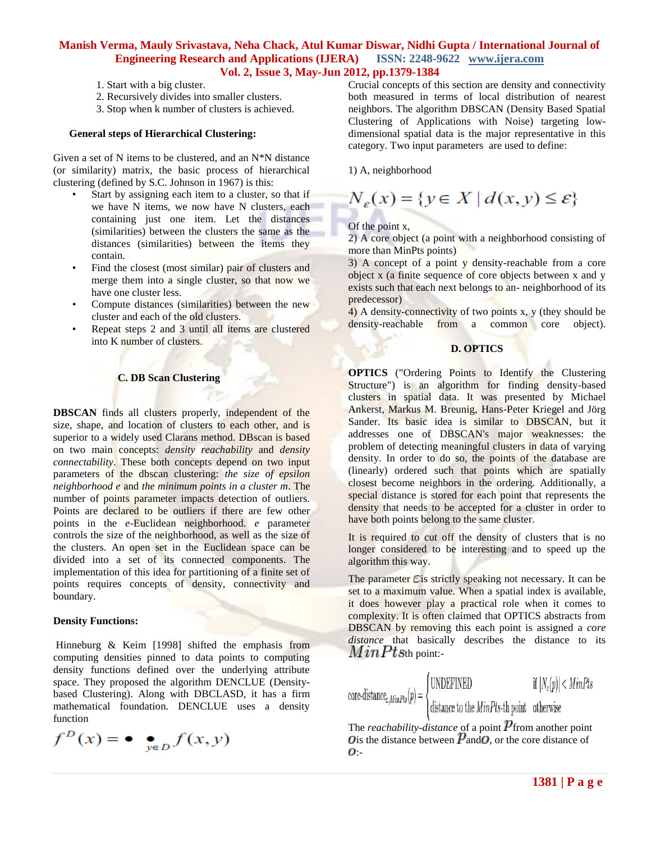- 1. Start with a big cluster.
- 2. Recursively divides into smaller clusters.
- 3. Stop when k number of clusters is achieved.

#### **General steps of Hierarchical Clustering:**

Given a set of N items to be clustered, and an N\*N distance (or similarity) matrix, the basic process of hierarchical clustering (defined by S.C. Johnson in 1967) is this:

- Start by assigning each item to a cluster, so that if we have N items, we now have N clusters, each containing just one item. Let the distances (similarities) between the clusters the same as the distances (similarities) between the items they contain.
- Find the closest (most similar) pair of clusters and merge them into a single cluster, so that now we have one cluster less.
- Compute distances (similarities) between the new cluster and each of the old clusters.
- Repeat steps 2 and 3 until all items are clustered into K number of clusters.

#### **C. DB Scan Clustering**

**DBSCAN** finds all clusters properly, independent of the size, shape, and location of clusters to each other, and is superior to a widely used Clarans method. DBscan is based on two main concepts: *density reachability* and *density connectability*. These both concepts depend on two input parameters of the dbscan clustering: *the size of epsilon neighborhood e* and *the minimum points in a cluster m*. The number of points parameter impacts detection of outliers. Points are declared to be outliers if there are few other points in the *e*-Euclidean neighborhood. *e* parameter controls the size of the neighborhood, as well as the size of the clusters. An open set in the Euclidean space can be divided into a set of its connected components. The implementation of this idea for partitioning of a finite set of points requires concepts of density, connectivity and boundary.

#### **Density Functions:**

Hinneburg & Keim [1998] shifted the emphasis from computing densities pinned to data points to computing density functions defined over the underlying attribute space. They proposed the algorithm DENCLUE (Densitybased Clustering). Along with DBCLASD, it has a firm mathematical foundation. DENCLUE uses a density function

$$
f^D(x) = \bullet \quad \bullet \quad f(x, y)
$$

Crucial concepts of this section are density and connectivity both measured in terms of local distribution of nearest neighbors. The algorithm DBSCAN (Density Based Spatial Clustering of Applications with Noise) targeting lowdimensional spatial data is the major representative in this category. Two input parameters are used to define:

1) A, neighborhood

$$
N_{\varepsilon}(x) = \{ y \in X \mid d(x, y) \le \varepsilon \}
$$

Of the point x,

2) A core object (a point with a neighborhood consisting of more than MinPts points)

3) A concept of a point y density-reachable from a core object x (a finite sequence of core objects between x and y exists such that each next belongs to an- neighborhood of its predecessor)

4) A density-connectivity of two points x, y (they should be density-reachable from a common core object).

#### **D. OPTICS**

**OPTICS** ("Ordering Points to Identify the Clustering Structure") is an algorithm for finding density-based clusters in spatial data. It was presented by Michael Ankerst, Markus M. Breunig, Hans-Peter Kriegel and Jörg Sander. Its basic idea is similar to DBSCAN, but it addresses one of DBSCAN's major weaknesses: the problem of detecting meaningful clusters in data of varying density. In order to do so, the points of the database are (linearly) ordered such that points which are spatially closest become neighbors in the ordering. Additionally, a special distance is stored for each point that represents the density that needs to be accepted for a cluster in order to have both points belong to the same cluster.

It is required to cut off the density of clusters that is no longer considered to be interesting and to speed up the algorithm this way.

The parameter  $\epsilon$  is strictly speaking not necessary. It can be set to a maximum value. When a spatial index is available, it does however play a practical role when it comes to complexity. It is often claimed that OPTICS abstracts from DBSCAN by removing this each point is assigned a *core distance* that basically describes the distance to its  $MinPts_{\text{th point}}$ :

$$
\text{core-distance}_{\varepsilon, \text{MinPts}}(p) = \begin{cases} \text{UNDEFINED} & \text{if } |N_{\varepsilon}(p)| < \text{MinPts} \\ \text{distance to the } \text{MinPts-th point} & \text{otherwise} \end{cases}
$$

The *reachability-distance* of a point  $P$  from another point **O** is the distance between  $P$  and  $O$ , or the core distance of  $\overline{o}$ :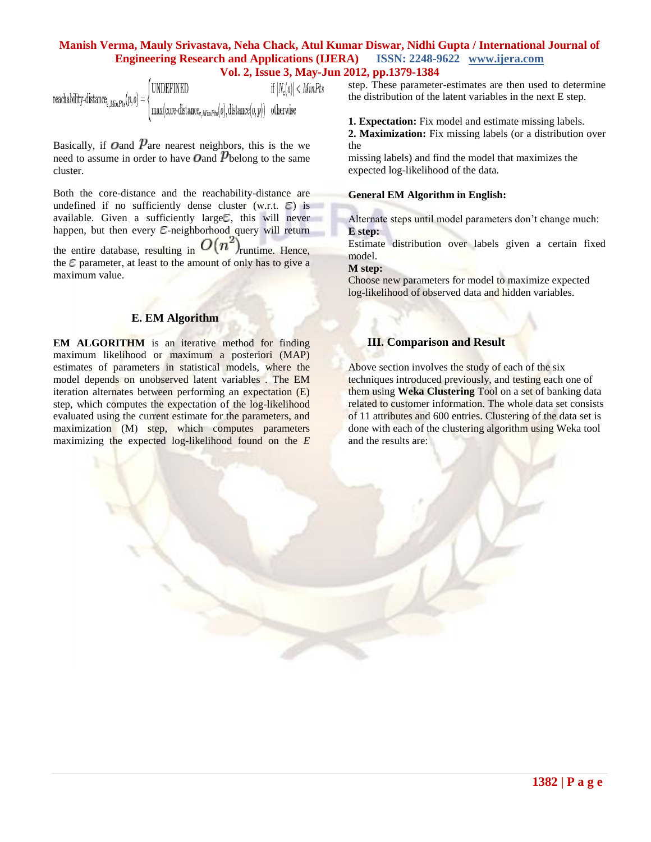**UNDEFINED** if  $|N_s(o)| < MinPts$ reachability-distance  $_{\varepsilon,MinPts}(p,o)$  $max(\text{core-distance}_{\varepsilon, MinPts}(o), \text{distance}(o, p))$  otherwise

Basically, if O and  $P$  are nearest neighbors, this is the we need to assume in order to have **O** and P belong to the same cluster.

Both the core-distance and the reachability-distance are undefined if no sufficiently dense cluster (w.r.t.  $\epsilon$ ) is available. Given a sufficiently large  $\mathcal{E}$ , this will never happen, but then every  $\varepsilon$ -neighborhood query will return the entire database, resulting in  $O(n^2)$ <sub>runtime. Hence,</sub> the  $\varepsilon$  parameter, at least to the amount of only has to give a maximum value.

#### **E. EM Algorithm**

**EM ALGORITHM** is an iterative method for finding maximum likelihood or maximum a posteriori (MAP) estimates of parameters in statistical models, where the model depends on unobserved latent variables . The EM iteration alternates between performing an expectation (E) step, which computes the expectation of the log-likelihood evaluated using the current estimate for the parameters, and maximization (M) step, which computes parameters maximizing the expected log-likelihood found on the *E* step. These parameter-estimates are then used to determine the distribution of the latent variables in the next E step.

**1. Expectation:** Fix model and estimate missing labels. **2. Maximization:** Fix missing labels (or a distribution over

the

missing labels) and find the model that maximizes the expected log-likelihood of the data.

#### **General EM Algorithm in English:**

Alternate steps until model parameters don't change much: **E step:**

Estimate distribution over labels given a certain fixed model.

#### **M step:**

Choose new parameters for model to maximize expected log-likelihood of observed data and hidden variables.

### **III. Comparison and Result**

Above section involves the study of each of the six techniques introduced previously, and testing each one of them using **Weka Clustering** Tool on a set of banking data related to customer information. The whole data set consists of 11 attributes and 600 entries. Clustering of the data set is done with each of the clustering algorithm using Weka tool and the results are: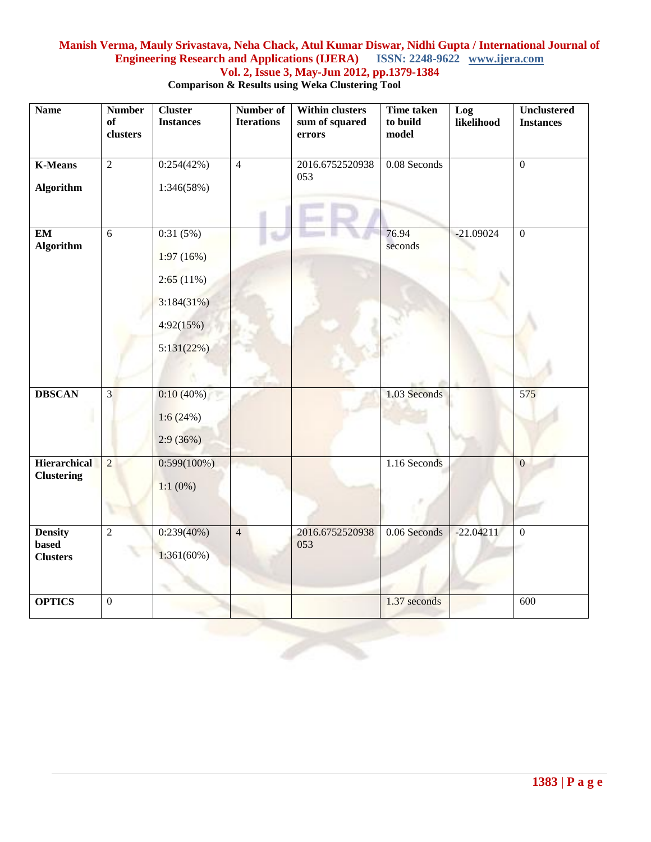|  | <b>Comparison &amp; Results using Weka Clustering Tool</b> |
|--|------------------------------------------------------------|

| <b>Name</b>                                | <b>Number</b><br>of<br>clusters | <b>Cluster</b><br><b>Instances</b>                                          | Number of<br><b>Iterations</b> | <b>Within clusters</b><br>sum of squared<br>errors | <b>Time taken</b><br>to build<br>model | Log<br>likelihood | <b>Unclustered</b><br><b>Instances</b> |
|--------------------------------------------|---------------------------------|-----------------------------------------------------------------------------|--------------------------------|----------------------------------------------------|----------------------------------------|-------------------|----------------------------------------|
| <b>K-Means</b><br><b>Algorithm</b>         | $\overline{2}$                  | 0:254(42%)<br>1:346(58%)                                                    | $\overline{4}$                 | 2016.6752520938<br>053                             | 0.08 Seconds                           |                   | $\overline{0}$                         |
| <b>EM</b><br><b>Algorithm</b>              | $\overline{6}$                  | 0:31(5%)<br>1:97(16%)<br>2:65(11%)<br>3:184(31%)<br>4:92(15%)<br>5:131(22%) |                                |                                                    | 76.94<br>seconds                       | $-21.09024$       | $\overline{0}$                         |
| <b>DBSCAN</b>                              | $\overline{3}$                  | 0:10(40%)<br>1:6(24%)<br>2:9(36%)                                           |                                |                                                    | 1.03 Seconds                           |                   | 575                                    |
| <b>Hierarchical</b><br><b>Clustering</b>   | $\overline{2}$                  | $0:599(100\%)$<br>$1:1(0\%)$                                                |                                |                                                    | 1.16 Seconds                           |                   | $\overline{0}$                         |
| <b>Density</b><br>based<br><b>Clusters</b> | $\overline{2}$                  | $0:239(40\%)$<br>1:361(60%)                                                 | $\overline{4}$                 | 2016.6752520938<br>053                             | 0.06 Seconds                           | $-22.04211$       | $\mathbf{0}$                           |
| <b>OPTICS</b>                              | $\mathbf{0}$                    |                                                                             |                                |                                                    | 1.37 seconds                           |                   | 600                                    |